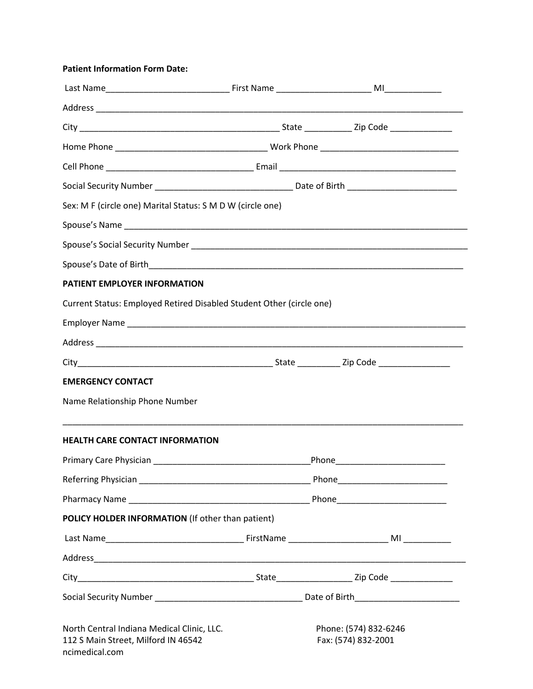## **Patient Information Form Date:**

| Sex: M F (circle one) Marital Status: S M D W (circle one)                                          |                                              |  |  |  |
|-----------------------------------------------------------------------------------------------------|----------------------------------------------|--|--|--|
|                                                                                                     |                                              |  |  |  |
|                                                                                                     |                                              |  |  |  |
|                                                                                                     |                                              |  |  |  |
| PATIENT EMPLOYER INFORMATION                                                                        |                                              |  |  |  |
| Current Status: Employed Retired Disabled Student Other (circle one)                                |                                              |  |  |  |
|                                                                                                     |                                              |  |  |  |
|                                                                                                     |                                              |  |  |  |
|                                                                                                     |                                              |  |  |  |
| <b>EMERGENCY CONTACT</b>                                                                            |                                              |  |  |  |
| Name Relationship Phone Number                                                                      |                                              |  |  |  |
| <b>HEALTH CARE CONTACT INFORMATION</b>                                                              |                                              |  |  |  |
|                                                                                                     |                                              |  |  |  |
|                                                                                                     |                                              |  |  |  |
|                                                                                                     |                                              |  |  |  |
| POLICY HOLDER INFORMATION (If other than patient)                                                   |                                              |  |  |  |
|                                                                                                     |                                              |  |  |  |
|                                                                                                     |                                              |  |  |  |
|                                                                                                     |                                              |  |  |  |
|                                                                                                     |                                              |  |  |  |
| North Central Indiana Medical Clinic, LLC.<br>112 S Main Street, Milford IN 46542<br>ncimedical.com | Phone: (574) 832-6246<br>Fax: (574) 832-2001 |  |  |  |